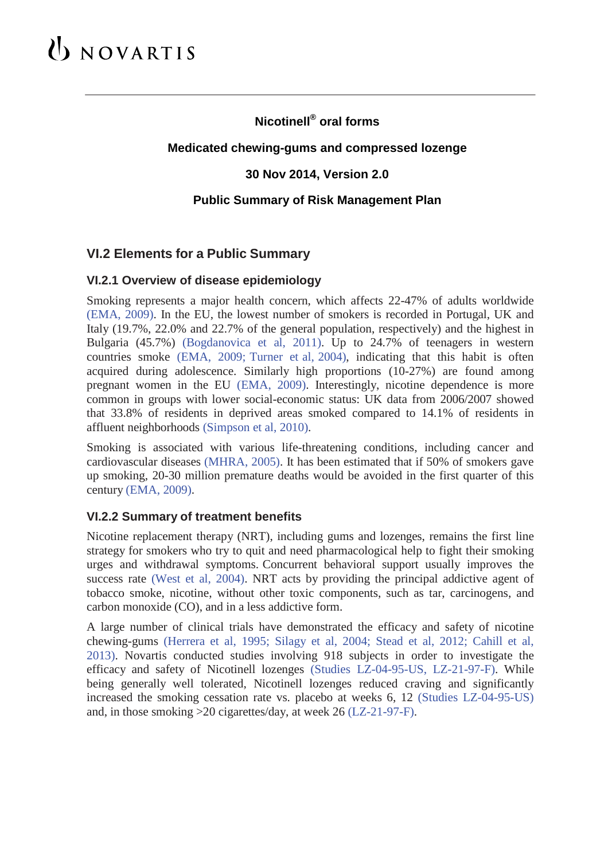# UNOVARTIS

## **Nicotinell® oral forms**

### **Medicated chewing-gums and compressed lozenge**

### **30 Nov 2014, Version 2.0**

### **Public Summary of Risk Management Plan**

### **VI.2 Elements for a Public Summary**

### **VI.2.1 Overview of disease epidemiology**

Smoking represents a major health concern, which affects 22-47% of adults worldwide (EMA, 2009). In the EU, the lowest number of smokers is recorded in Portugal, UK and Italy (19.7%, 22.0% and 22.7% of the general population, respectively) and the highest in Bulgaria (45.7%) (Bogdanovica et al, 2011). Up to 24.7% of teenagers in western countries smoke (EMA, 2009; Turner et al, 2004), indicating that this habit is often acquired during adolescence. Similarly high proportions (10-27%) are found among pregnant women in the EU (EMA, 2009). Interestingly, nicotine dependence is more common in groups with lower social-economic status: UK data from 2006/2007 showed that 33.8% of residents in deprived areas smoked compared to 14.1% of residents in affluent neighborhoods (Simpson et al, 2010).

Smoking is associated with various life-threatening conditions, including cancer and cardiovascular diseases (MHRA, 2005). It has been estimated that if 50% of smokers gave up smoking, 20-30 million premature deaths would be avoided in the first quarter of this century (EMA, 2009).

#### **VI.2.2 Summary of treatment benefits**

Nicotine replacement therapy (NRT), including gums and lozenges, remains the first line strategy for smokers who try to quit and need pharmacological help to fight their smoking urges and withdrawal symptoms. Concurrent behavioral support usually improves the success rate (West et al, 2004). NRT acts by providing the principal addictive agent of tobacco smoke, nicotine, without other toxic components, such as tar, carcinogens, and carbon monoxide (CO), and in a less addictive form.

A large number of clinical trials have demonstrated the efficacy and safety of nicotine chewing-gums (Herrera et al, 1995; Silagy et al, 2004; Stead et al, 2012; Cahill et al, 2013). Novartis conducted studies involving 918 subjects in order to investigate the efficacy and safety of Nicotinell lozenges (Studies LZ-04-95-US, LZ-21-97-F). While being generally well tolerated, Nicotinell lozenges reduced craving and significantly increased the smoking cessation rate vs. placebo at weeks 6, 12 (Studies LZ-04-95-US) and, in those smoking >20 cigarettes/day, at week 26 (LZ-21-97-F).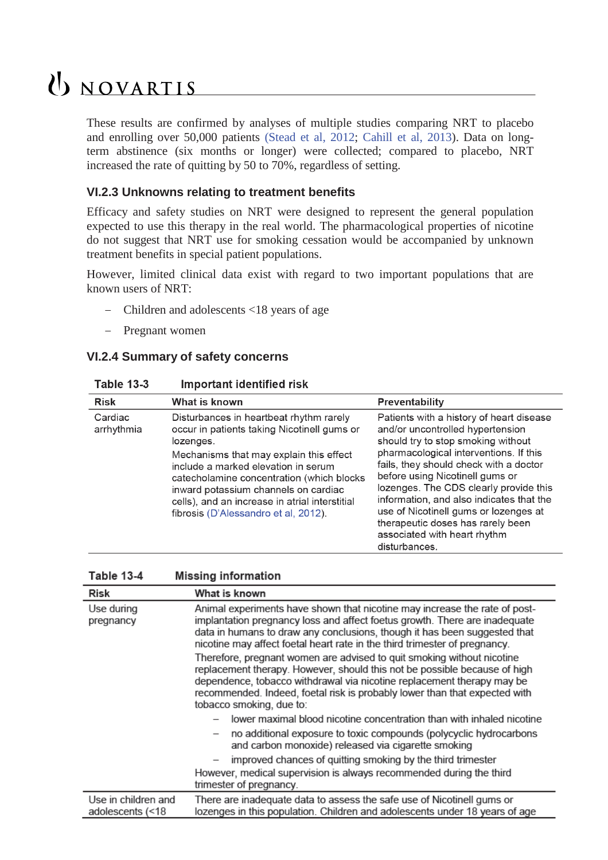# UNOVARTIS

These results are confirmed by analyses of multiple studies comparing NRT to placebo and enrolling over 50,000 patients (Stead et al, 2012; Cahill et al, 2013). Data on longterm abstinence (six months or longer) were collected; compared to placebo, NRT increased the rate of quitting by 50 to 70%, regardless of setting.

### **VI.2.3 Unknowns relating to treatment benefits**

Efficacy and safety studies on NRT were designed to represent the general population expected to use this therapy in the real world. The pharmacological properties of nicotine do not suggest that NRT use for smoking cessation would be accompanied by unknown treatment benefits in special patient populations.

However, limited clinical data exist with regard to two important populations that are known users of NRT:

- − Children and adolescents <18 years of age
- − Pregnant women

#### **VI.2.4 Summary of safety concerns**

| Table 13-3 |  | <b>Important identified risk</b> |  |
|------------|--|----------------------------------|--|
|            |  |                                  |  |

| <b>Risk</b>           | What is known                                                                                                                                                                                                                                                                                                                                                        | <b>Preventability</b>                                                                                                                                                                                                                                                                                                                                                                                                                                          |
|-----------------------|----------------------------------------------------------------------------------------------------------------------------------------------------------------------------------------------------------------------------------------------------------------------------------------------------------------------------------------------------------------------|----------------------------------------------------------------------------------------------------------------------------------------------------------------------------------------------------------------------------------------------------------------------------------------------------------------------------------------------------------------------------------------------------------------------------------------------------------------|
| Cardiac<br>arrhythmia | Disturbances in heartbeat rhythm rarely<br>occur in patients taking Nicotinell gums or<br>lozenges.<br>Mechanisms that may explain this effect<br>include a marked elevation in serum<br>catecholamine concentration (which blocks<br>inward potassium channels on cardiac<br>cells), and an increase in atrial interstitial<br>fibrosis (D'Alessandro et al, 2012). | Patients with a history of heart disease<br>and/or uncontrolled hypertension<br>should try to stop smoking without<br>pharmacological interventions. If this<br>fails, they should check with a doctor<br>before using Nicotinell gums or<br>lozenges. The CDS clearly provide this<br>information, and also indicates that the<br>use of Nicotinell gums or lozenges at<br>therapeutic doses has rarely been<br>associated with heart rhythm<br>disturbances. |

| <b>Table 13-4</b> | <b>Missing information</b> |  |
|-------------------|----------------------------|--|
|-------------------|----------------------------|--|

| Risk                                    | What is known                                                                                                                                                                                                                                                                                                                                                                                                                                                                                                                                                                                                                                                  |  |
|-----------------------------------------|----------------------------------------------------------------------------------------------------------------------------------------------------------------------------------------------------------------------------------------------------------------------------------------------------------------------------------------------------------------------------------------------------------------------------------------------------------------------------------------------------------------------------------------------------------------------------------------------------------------------------------------------------------------|--|
| Use during<br>pregnancy                 | Animal experiments have shown that nicotine may increase the rate of post-<br>implantation pregnancy loss and affect foetus growth. There are inadequate<br>data in humans to draw any conclusions, though it has been suggested that<br>nicotine may affect foetal heart rate in the third trimester of pregnancy.<br>Therefore, pregnant women are advised to quit smoking without nicotine<br>replacement therapy. However, should this not be possible because of high<br>dependence, tobacco withdrawal via nicotine replacement therapy may be<br>recommended. Indeed, foetal risk is probably lower than that expected with<br>tobacco smoking, due to: |  |
|                                         |                                                                                                                                                                                                                                                                                                                                                                                                                                                                                                                                                                                                                                                                |  |
|                                         | lower maximal blood nicotine concentration than with inhaled nicotine                                                                                                                                                                                                                                                                                                                                                                                                                                                                                                                                                                                          |  |
|                                         | no additional exposure to toxic compounds (polycyclic hydrocarbons<br>and carbon monoxide) released via cigarette smoking                                                                                                                                                                                                                                                                                                                                                                                                                                                                                                                                      |  |
|                                         | improved chances of quitting smoking by the third trimester<br>However, medical supervision is always recommended during the third<br>trimester of pregnancy.                                                                                                                                                                                                                                                                                                                                                                                                                                                                                                  |  |
| Use in children and<br>adolescents (<18 | There are inadequate data to assess the safe use of Nicotinell gums or<br>lozenges in this population. Children and adolescents under 18 years of age                                                                                                                                                                                                                                                                                                                                                                                                                                                                                                          |  |